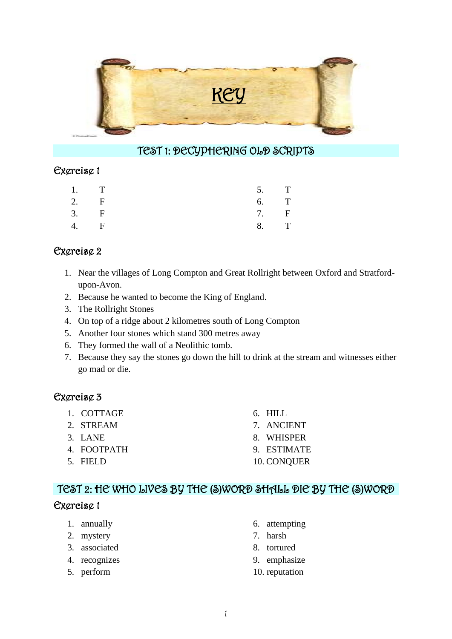

### TEST 1: DECYPHERING OLD SCRIPTS

#### Exercise 1

|    | 1. T         | 5. T |  |
|----|--------------|------|--|
|    | 2. $F$       | 6. T |  |
|    | 3. F         | 7. F |  |
| 4. | $\mathbf{F}$ | 8. T |  |

### Exercise 2

- 1. Near the villages of Long Compton and Great Rollright between Oxford and Stratfordupon-Avon.
- 2. Because he wanted to become the King of England.
- 3. The Rollright Stones
- 4. On top of a ridge about 2 kilometres south of Long Compton
- 5. Another four stones which stand 300 metres away
- 6. They formed the wall of a Neolithic tomb.
- 7. Because they say the stones go down the hill to drink at the stream and witnesses either go mad or die.

### Exercise 3

1. COTTAGE 2. STREAM 3. LANE 4. FOOTPATH 5. FIELD 6. HILL 7. ANCIENT 8. WHISPER 9. ESTIMATE 10. CONQUER

# TEST 2: HE WHO LIVES BY THE (S)WORD SHALL DIE BY THE (S)WORD

### Exercise 1

- 1. annually
- 2. mystery
- 3. associated
- 4. recognizes
- 5. perform
- 6. attempting
- 7. harsh
- 8. tortured
- 9. emphasize
- 10. reputation